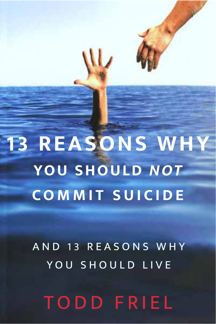**13 REASONS WHY** YOU SHOULD NOT **COMMIT SUICIDE** 

W

AND 13 REASONS WHY YOU SHOULD LIVE

**TODD FRIEL**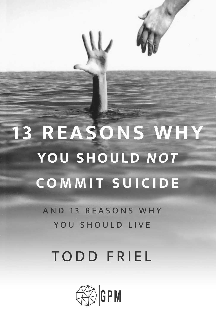

## **TODD FRIEL**

AND 13 REASONS WHY YOU SHOULD LIVE

# **13 REASONS WHY** YOU SHOULD NOT **COMMIT SUICIDE**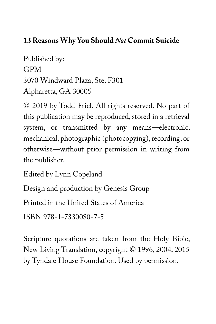#### **13 Reasons Why You Should** *Not* **Commit Suicide**

Published by: GPM 3070 Windward Plaza, Ste. F301 Alpharetta, GA 30005

© 2019 by Todd Friel. All rights reserved. No part of this publication may be reproduced, stored in a retrieval system, or transmitted by any means—electronic, mechanical, photographic (photocopying), recording, or otherwise—without prior permission in writing from the publisher.

Edited by Lynn Copeland

Design and production by Genesis Group

Printed in the United States of America

ISBN 978-1-7330080-7-5

Scripture quotations are taken from the Holy Bible, New Living Translation, copyright © 1996, 2004, 2015 by Tyndale House Foundation. Used by permission.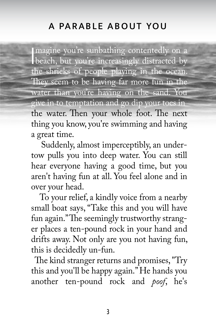## A PARABLE ABOUT YOU

magine you're sunbathing contentedly on a beach, but you're increasingly distracted by the shrieks of people playing in the ocean. They seem to be having far more fun in the water than you're having on the sand. You give in to temptation and go dip your toes in the water. Then your whole foot. The next thing you know, you're swimming and having a great time.

 Suddenly, almost imperceptibly, an undertow pulls you into deep water. You can still hear everyone having a good time, but you aren't having fun at all. You feel alone and in over your head.

 To your relief, a kindly voice from a nearby small boat says, "Take this and you will have fun again." The seemingly trustworthy stranger places a ten-pound rock in your hand and drifts away. Not only are you not having fun, this is decidedly un-fun.

The kind stranger returns and promises, "Try this and you'll be happy again." He hands you another ten-pound rock and *poof*, he's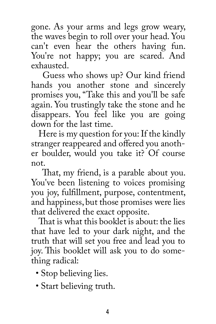gone. As your arms and legs grow weary, the waves begin to roll over your head. You can't even hear the others having fun. You're not happy; you are scared. And exhausted.

 Guess who shows up? Our kind friend hands you another stone and sincerely promises you, "Take this and you'll be safe again. You trustingly take the stone and he disappears. You feel like you are going down for the last time.

 Here is my question for you: If the kindly stranger reappeared and offered you another boulder, would you take it? Of course not.

That, my friend, is a parable about you. You've been listening to voices promising you joy, fulfillment, purpose, contentment, and happiness, but those promises were lies that delivered the exact opposite.

That is what this booklet is about: the lies that have led to your dark night, and the truth that will set you free and lead you to joy. This booklet will ask you to do something radical:

- Stop believing lies.
- Start believing truth.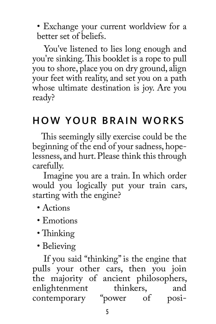• Exchange your current worldview for a better set of beliefs.

 You've listened to lies long enough and you're sinking. This booklet is a rope to pull you to shore, place you on dry ground, align your feet with reality, and set you on a path whose ultimate destination is joy. Are you ready?

## HOW YOUR BRAIN WORKS

This seemingly silly exercise could be the beginning of the end of your sadness, hopelessness, and hurt. Please think this through carefully.

 Imagine you are a train. In which order would you logically put your train cars, starting with the engine?

- Actions
- Emotions
- Thinking
- Believing

 If you said "thinking" is the engine that pulls your other cars, then you join the majority of ancient philosophers,<br>enlightenment thinkers, and enlightenment contemporary "power of posi-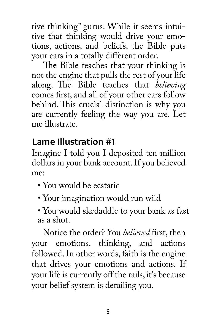tive thinking" gurus. While it seems intuitive that thinking would drive your emotions, actions, and beliefs, the Bible puts your cars in a totally different order.

The Bible teaches that your thinking is not the engine that pulls the rest of your life along. The Bible teaches that *believing* comes first, and all of your other cars follow behind. This crucial distinction is why you are currently feeling the way you are. Let me illustrate.

## **Lame Illustration #1**

Imagine I told you I deposited ten million dollars in your bank account. If you believed me:

- You would be ecstatic
- Your imagination would run wild
- You would skedaddle to your bank as fast as a shot.

Notice the order? You *believed* first, then your emotions, thinking, and actions followed. In other words, faith is the engine that drives your emotions and actions. If your life is currently off the rails, it's because your belief system is derailing you.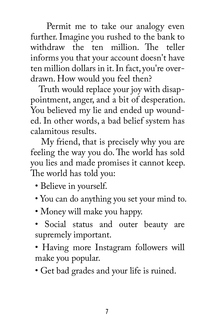Permit me to take our analogy even further. Imagine you rushed to the bank to withdraw the ten million. The teller informs you that your account doesn't have ten million dollars in it. In fact, you're overdrawn. How would you feel then?

 Truth would replace your joy with disappointment, anger, and a bit of desperation. You believed my lie and ended up wounded. In other words, a bad belief system has calamitous results.

 My friend, that is precisely why you are feeling the way you do. The world has sold you lies and made promises it cannot keep. The world has told you:

- Believe in yourself.
- You can do anything you set your mind to.
- Money will make you happy.
- Social status and outer beauty are supremely important.
- Having more Instagram followers will make you popular.
- Get bad grades and your life is ruined.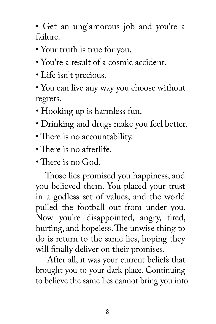• Get an unglamorous job and you're a failure.

- Your truth is true for you.
- You're a result of a cosmic accident.
- Life isn't precious.
- You can live any way you choose without regrets.
- Hooking up is harmless fun.
- Drinking and drugs make you feel better.
- There is no accountability.
- $\cdot$  There is no afterlife.
- $\cdot$  There is no God.

Those lies promised you happiness, and you believed them. You placed your trust in a godless set of values, and the world pulled the football out from under you. Now you're disappointed, angry, tired, hurting, and hopeless. The unwise thing to do is return to the same lies, hoping they will finally deliver on their promises.

 After all, it was your current beliefs that brought you to your dark place. Continuing to believe the same lies cannot bring you into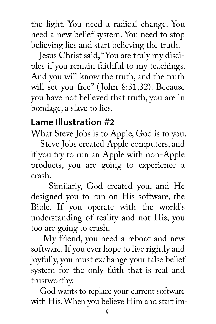the light. You need a radical change. You need a new belief system. You need to stop believing lies and start believing the truth.

 Jesus Christ said, "You are truly my disciples if you remain faithful to my teachings. And you will know the truth, and the truth will set you free" (John 8:31,32). Because you have not believed that truth, you are in bondage, a slave to lies.

#### **Lame Illustration #2**

What Steve Jobs is to Apple, God is to you.

 Steve Jobs created Apple computers, and if you try to run an Apple with non-Apple products, you are going to experience a crash.

 Similarly, God created you, and He designed you to run on His software, the Bible. If you operate with the world's understanding of reality and not His, you too are going to crash.

 My friend, you need a reboot and new software. If you ever hope to live rightly and joyfully, you must exchange your false belief system for the only faith that is real and trustworthy.

 God wants to replace your current software with His. When you believe Him and start im-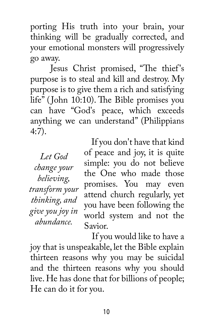porting His truth into your brain, your thinking will be gradually corrected, and your emotional monsters will progressively go away.

Jesus Christ promised, "The thief's purpose is to steal and kill and destroy. My purpose is to give them a rich and satisfying life" (John 10:10). The Bible promises you can have "God's peace, which exceeds anything we can understand" (Philippians 4:7).

*Let God change your believing, transform your thinking, and give you joy in abundance.* 

 If you don't have that kind of peace and joy, it is quite simple: you do not believe the One who made those promises. You may even attend church regularly, yet you have been following the world system and not the Savior.

 If you would like to have a joy that is unspeakable, let the Bible explain thirteen reasons why you may be suicidal and the thirteen reasons why you should live. He has done that for billions of people; He can do it for you.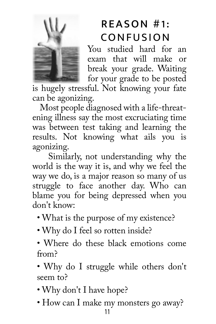

## REASON #1: CONFUSION

You studied hard for an exam that will make or break your grade. Waiting for your grade to be posted

is hugely stressful. Not knowing your fate can be agonizing.

 Most people diagnosed with a life-threatening illness say the most excruciating time was between test taking and learning the results. Not knowing what ails you is agonizing.

 Similarly, not understanding why the world is the way it is, and why we feel the way we do, is a major reason so many of us struggle to face another day. Who can blame you for being depressed when you don't know:

- What is the purpose of my existence?
- Why do I feel so rotten inside?
- Where do these black emotions come from?
- Why do I struggle while others don't seem to?
- Why don't I have hope?
- How can I make my monsters go away?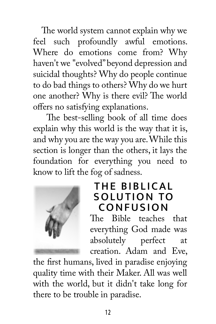The world system cannot explain why we feel such profoundly awful emotions. Where do emotions come from? Why haven't we "evolved" beyond depression and suicidal thoughts? Why do people continue to do bad things to others? Why do we hurt one another? Why is there evil? The world offers no satisfying explanations.

The best-selling book of all time does explain why this world is the way that it is, and why you are the way you are. While this section is longer than the others, it lays the foundation for everything you need to know to lift the fog of sadness.



## THE BIBLICAL SOLUTION TO **CONFUSION**

The Bible teaches that everything God made was absolutely perfect at creation. Adam and Eve,

the first humans, lived in paradise enjoying quality time with their Maker. All was well with the world, but it didn't take long for there to be trouble in paradise.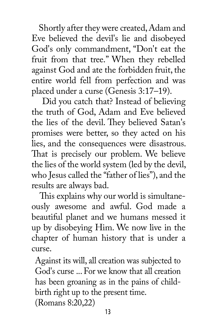Shortly after they were created, Adam and Eve believed the devil's lie and disobeyed God's only commandment, "Don't eat the fruit from that tree." When they rebelled against God and ate the forbidden fruit, the entire world fell from perfection and was placed under a curse (Genesis 3:17–19).

 Did you catch that? Instead of believing the truth of God, Adam and Eve believed the lies of the devil. They believed Satan's promises were better, so they acted on his lies, and the consequences were disastrous. That is precisely our problem. We believe the lies of the world system (led by the devil, who Jesus called the "father of lies"), and the results are always bad.

This explains why our world is simultaneously awesome and awful. God made a beautiful planet and we humans messed it up by disobeying Him. We now live in the chapter of human history that is under a curse.

Against its will, all creation was subjected to God's curse ... For we know that all creation has been groaning as in the pains of childbirth right up to the present time. (Romans 8:20,22)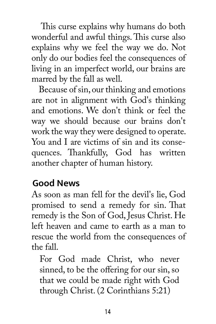This curse explains why humans do both wonderful and awful things. This curse also explains why we feel the way we do. Not only do our bodies feel the consequences of living in an imperfect world, our brains are marred by the fall as well.

 Because of sin, our thinking and emotions are not in alignment with God's thinking and emotions. We don't think or feel the way we should because our brains don't work the way they were designed to operate. You and I are victims of sin and its consequences. Thankfully, God has written another chapter of human history.

## **Good News**

As soon as man fell for the devil's lie, God promised to send a remedy for sin. That remedy is the Son of God, Jesus Christ. He left heaven and came to earth as a man to rescue the world from the consequences of the fall.

For God made Christ, who never sinned, to be the offering for our sin, so that we could be made right with God through Christ. (2 Corinthians 5:21)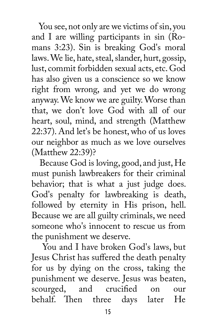You see, not only are we victims of sin, you and I are willing participants in sin (Romans 3:23). Sin is breaking God's moral laws. We lie, hate, steal, slander, hurt, gossip, lust, commit forbidden sexual acts, etc. God has also given us a conscience so we know right from wrong, and yet we do wrong anyway. We know we are guilty. Worse than that, we don't love God with all of our heart, soul, mind, and strength (Matthew 22:37). And let's be honest, who of us loves our neighbor as much as we love ourselves (Matthew 22:39)?

 Because God is loving, good, and just, He must punish lawbreakers for their criminal behavior; that is what a just judge does. God's penalty for lawbreaking is death, followed by eternity in His prison, hell. Because we are all guilty criminals, we need someone who's innocent to rescue us from the punishment we deserve.

 You and I have broken God's laws, but Jesus Christ has suffered the death penalty for us by dying on the cross, taking the punishment we deserve. Jesus was beaten, scourged, and crucified on our<br>behalf. Then three davs later He behalf. Then three days later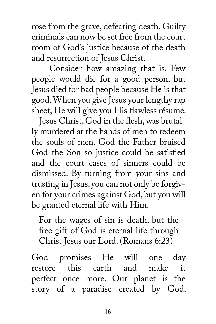rose from the grave, defeating death. Guilty criminals can now be set free from the court room of God's justice because of the death and resurrection of Jesus Christ.

 Consider how amazing that is. Few people would die for a good person, but Jesus died for bad people because He is that good. When you give Jesus your lengthy rap sheet, He will give you His flawless résumé.

Jesus Christ, God in the flesh, was brutally murdered at the hands of men to redeem the souls of men. God the Father bruised God the Son so justice could be satisfied and the court cases of sinners could be dismissed. By turning from your sins and trusting in Jesus, you can not only be forgiven for your crimes against God, but you will be granted eternal life with Him.

For the wages of sin is death, but the free gift of God is eternal life through Christ Jesus our Lord. (Romans 6:23)

God promises He will one day<br>restore this earth and make it this earth and make it perfect once more. Our planet is the story of a paradise created by God,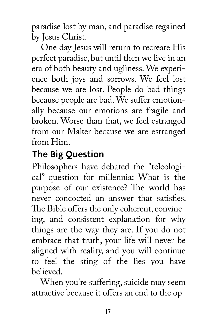paradise lost by man, and paradise regained by Jesus Christ.

 One day Jesus will return to recreate His perfect paradise, but until then we live in an era of both beauty and ugliness. We experience both joys and sorrows. We feel lost because we are lost. People do bad things because people are bad. We suffer emotionally because our emotions are fragile and broken. Worse than that, we feel estranged from our Maker because we are estranged from Him.

## **The Big Question**

Philosophers have debated the "teleological" question for millennia: What is the purpose of our existence? The world has never concocted an answer that satisfies. The Bible offers the only coherent, convincing, and consistent explanation for why things are the way they are. If you do not embrace that truth, your life will never be aligned with reality, and you will continue to feel the sting of the lies you have believed.

When you're suffering, suicide may seem attractive because it offers an end to the op-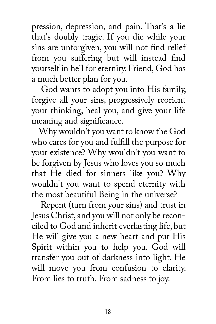pression, depression, and pain. That's a lie that's doubly tragic. If you die while your sins are unforgiven, you will not find relief from you suffering but will instead find yourself in hell for eternity. Friend, God has a much better plan for you.

 God wants to adopt you into His family, forgive all your sins, progressively reorient your thinking, heal you, and give your life meaning and significance.

 Why wouldn't you want to know the God who cares for you and fulfill the purpose for your existence? Why wouldn't you want to be forgiven by Jesus who loves you so much that He died for sinners like you? Why wouldn't you want to spend eternity with the most beautiful Being in the universe?

 Repent (turn from your sins) and trust in Jesus Christ, and you will not only be reconciled to God and inherit everlasting life, but He will give you a new heart and put His Spirit within you to help you. God will transfer you out of darkness into light. He will move you from confusion to clarity. From lies to truth. From sadness to joy.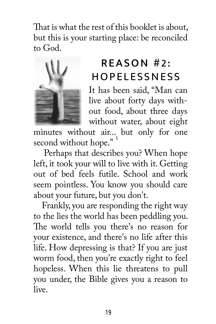That is what the rest of this booklet is abd but this is your starting place: be reconcil to God.



## REASON #2: **HOPFLESSNESS**

It has been said, "Man live about forty days wi out food, about three d without water, about ei

minutes without air... but only for second without hope."

Perhaps that describes you? When ho left, it took your will to live with it. Gett out of bed feels futile. School and w seem pointless. You know you should care about your future, but you don't.

 Frankly, you are responding the right way to the lies the world has been peddling you. The world tells you there's no reason for your existence, and there's no life after this life. How depressing is that? If you are just worm food, then you're exactly right to feel hopeless. When this lie threatens to pull you under, the Bible gives you a reason to live.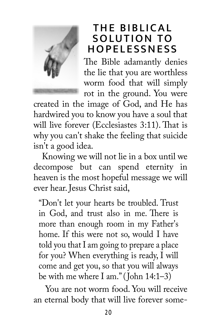

## THE BIBLICAL SOLUTION TO HOPELESSNESS

The Bible adamantly denies the lie that you are worthless worm food that will simply rot in the ground. You were

created in the image of God, and He has hardwired you to know you have a soul that will live forever (Ecclesiastes 3:11). That is why you can't shake the feeling that suicide isn't a good idea.

 Knowing we will not lie in a box until we decompose but can spend eternity in heaven is the most hopeful message we will ever hear. Jesus Christ said,

"Don't let your hearts be troubled. Trust in God, and trust also in me. There is more than enough room in my Father's home. If this were not so, would I have told you that I am going to prepare a place for you? When everything is ready, I will come and get you, so that you will always be with me where I am." (John 14:1–3)

 You are not worm food. You will receive an eternal body that will live forever some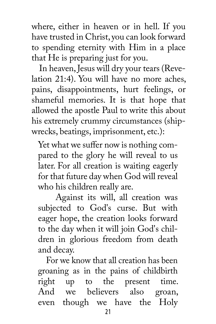where, either in heaven or in hell. If you have trusted in Christ, you can look forward to spending eternity with Him in a place that He is preparing just for you.

 In heaven, Jesus will dry your tears (Revelation 21:4). You will have no more aches, pains, disappointments, hurt feelings, or shameful memories. It is that hope that allowed the apostle Paul to write this about his extremely crummy circumstances (shipwrecks, beatings, imprisonment, etc.):

Yet what we suffer now is nothing compared to the glory he will reveal to us later. For all creation is waiting eagerly for that future day when God will reveal who his children really are.

 Against its will, all creation was subjected to God's curse. But with eager hope, the creation looks forward to the day when it will join God's children in glorious freedom from death and decay.

 For we know that all creation has been groaning as in the pains of childbirth right up to the present time. And we believers also groan, even though we have the Holy